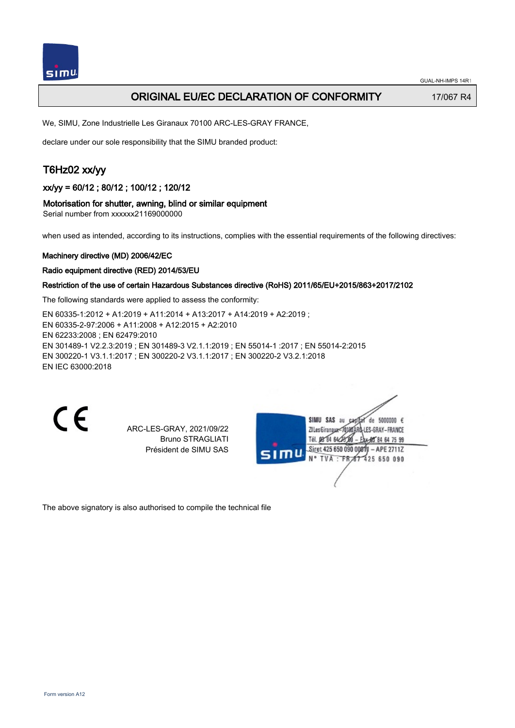# ORIGINAL EU/EC DECLARATION OF CONFORMITY 17/067 R4

We, SIMU, Zone Industrielle Les Giranaux 70100 ARC-LES-GRAY FRANCE,

declare under our sole responsibility that the SIMU branded product:

# T6Hz02 xx/yy

xx/yy = 60/12 ; 80/12 ; 100/12 ; 120/12

### Motorisation for shutter, awning, blind or similar equipment

Serial number from xxxxxx21169000000

when used as intended, according to its instructions, complies with the essential requirements of the following directives:

### Machinery directive (MD) 2006/42/EC

#### Radio equipment directive (RED) 2014/53/EU

### Restriction of the use of certain Hazardous Substances directive (RoHS) 2011/65/EU+2015/863+2017/2102

The following standards were applied to assess the conformity:

EN 60335‑1:2012 + A1:2019 + A11:2014 + A13:2017 + A14:2019 + A2:2019 ; EN 60335‑2‑97:2006 + A11:2008 + A12:2015 + A2:2010 EN 62233:2008 ; EN 62479:2010 EN 301489‑1 V2.2.3:2019 ; EN 301489‑3 V2.1.1:2019 ; EN 55014‑1 :2017 ; EN 55014‑2:2015 EN 300220‑1 V3.1.1:2017 ; EN 300220‑2 V3.1.1:2017 ; EN 300220‑2 V3.2.1:2018 EN IEC 63000:2018

 $\epsilon$ 

ARC-LES-GRAY, 2021/09/22 Bruno STRAGLIATI Président de SIMU SAS

de 5000000  $\epsilon$ **ZILesGiranaug** ES-GRAY-FRANCE THE DR'RA 64/2 48 84 64 75 99 Siret 425 650 090 00811 - APE 2711Z FR 67 425 650 090 **TVA** 

The above signatory is also authorised to compile the technical file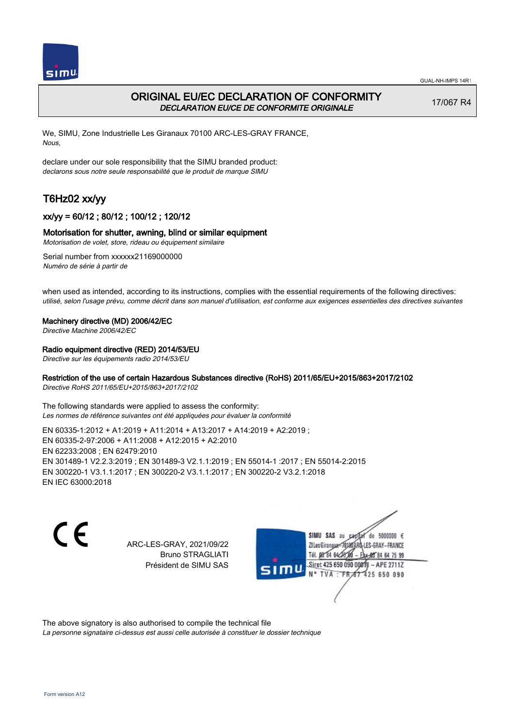

# ORIGINAL EU/EC DECLARATION OF CONFORMITY DECLARATION EU/CE DE CONFORMITE ORIGINALE

17/067 R4

We, SIMU, Zone Industrielle Les Giranaux 70100 ARC-LES-GRAY FRANCE, Nous,

declare under our sole responsibility that the SIMU branded product: declarons sous notre seule responsabilité que le produit de marque SIMU

# T6Hz02 xx/yy

# xx/yy = 60/12 ; 80/12 ; 100/12 ; 120/12

### Motorisation for shutter, awning, blind or similar equipment

Motorisation de volet, store, rideau ou équipement similaire

Serial number from xxxxxx21169000000 Numéro de série à partir de

when used as intended, according to its instructions, complies with the essential requirements of the following directives: utilisé, selon l'usage prévu, comme décrit dans son manuel d'utilisation, est conforme aux exigences essentielles des directives suivantes

#### Machinery directive (MD) 2006/42/EC

Directive Machine 2006/42/EC

### Radio equipment directive (RED) 2014/53/EU

Directive sur les équipements radio 2014/53/EU

## Restriction of the use of certain Hazardous Substances directive (RoHS) 2011/65/EU+2015/863+2017/2102

Directive RoHS 2011/65/EU+2015/863+2017/2102

The following standards were applied to assess the conformity: Les normes de référence suivantes ont été appliquées pour évaluer la conformité

EN 60335‑1:2012 + A1:2019 + A11:2014 + A13:2017 + A14:2019 + A2:2019 ; EN 60335‑2‑97:2006 + A11:2008 + A12:2015 + A2:2010 EN 62233:2008 ; EN 62479:2010 EN 301489‑1 V2.2.3:2019 ; EN 301489‑3 V2.1.1:2019 ; EN 55014‑1 :2017 ; EN 55014‑2:2015 EN 300220‑1 V3.1.1:2017 ; EN 300220‑2 V3.1.1:2017 ; EN 300220‑2 V3.2.1:2018 EN IEC 63000:2018

 $\epsilon$ 

ARC-LES-GRAY, 2021/09/22 Bruno STRAGLIATI Président de SIMU SAS



The above signatory is also authorised to compile the technical file

La personne signataire ci-dessus est aussi celle autorisée à constituer le dossier technique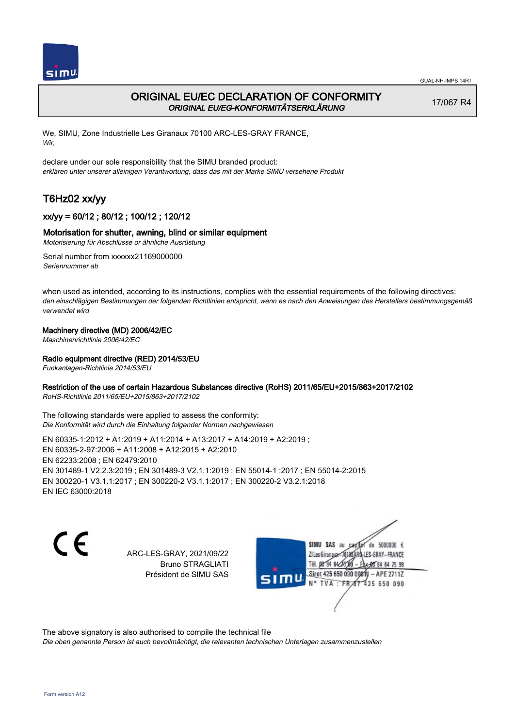

# ORIGINAL EU/EC DECLARATION OF CONFORMITY ORIGINAL EU/EG-KONFORMITÄTSERKLÄRUNG

17/067 R4

We, SIMU, Zone Industrielle Les Giranaux 70100 ARC-LES-GRAY FRANCE, Wir,

declare under our sole responsibility that the SIMU branded product: erklären unter unserer alleinigen Verantwortung, dass das mit der Marke SIMU versehene Produkt

# T6Hz02 xx/yy

# xx/yy = 60/12 ; 80/12 ; 100/12 ; 120/12

### Motorisation for shutter, awning, blind or similar equipment

Motorisierung für Abschlüsse or ähnliche Ausrüstung

Serial number from xxxxxx21169000000 Seriennummer ab

when used as intended, according to its instructions, complies with the essential requirements of the following directives: den einschlägigen Bestimmungen der folgenden Richtlinien entspricht, wenn es nach den Anweisungen des Herstellers bestimmungsgemäß verwendet wird

### Machinery directive (MD) 2006/42/EC

Maschinenrichtlinie 2006/42/EC

### Radio equipment directive (RED) 2014/53/EU

Funkanlagen-Richtlinie 2014/53/EU

### Restriction of the use of certain Hazardous Substances directive (RoHS) 2011/65/EU+2015/863+2017/2102

RoHS-Richtlinie 2011/65/EU+2015/863+2017/2102

The following standards were applied to assess the conformity: Die Konformität wird durch die Einhaltung folgender Normen nachgewiesen

EN 60335‑1:2012 + A1:2019 + A11:2014 + A13:2017 + A14:2019 + A2:2019 ; EN 60335‑2‑97:2006 + A11:2008 + A12:2015 + A2:2010 EN 62233:2008 ; EN 62479:2010 EN 301489‑1 V2.2.3:2019 ; EN 301489‑3 V2.1.1:2019 ; EN 55014‑1 :2017 ; EN 55014‑2:2015 EN 300220‑1 V3.1.1:2017 ; EN 300220‑2 V3.1.1:2017 ; EN 300220‑2 V3.2.1:2018 EN IEC 63000:2018

C E

ARC-LES-GRAY, 2021/09/22 Bruno STRAGLIATI Président de SIMU SAS

SIMU SAS au de 5000000  $\epsilon$ ZI Les Giranaux-70180 LES-GRAY-FRANCE Tél. 08 84 64 24 64 75 99 Siret 425 650 090 0081) - APE 2711Z 425 650 090 **TVA:FR** 

The above signatory is also authorised to compile the technical file

Die oben genannte Person ist auch bevollmächtigt, die relevanten technischen Unterlagen zusammenzustellen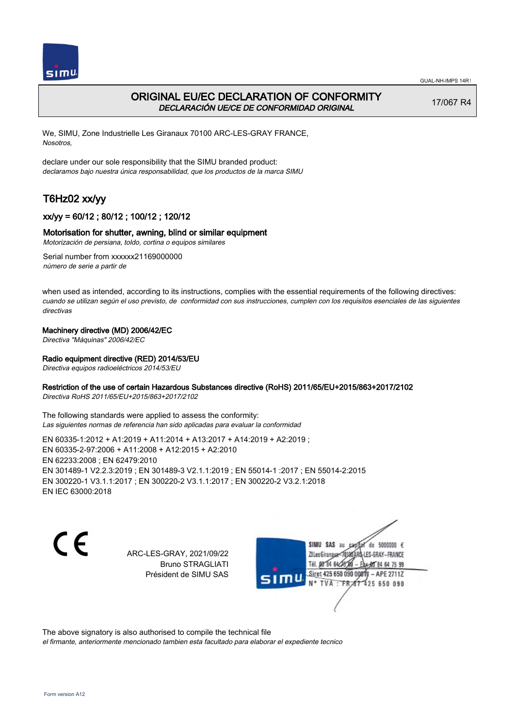



# ORIGINAL EU/EC DECLARATION OF CONFORMITY DECLARACIÓN UE/CE DE CONFORMIDAD ORIGINAL

17/067 R4

We, SIMU, Zone Industrielle Les Giranaux 70100 ARC-LES-GRAY FRANCE, Nosotros,

declare under our sole responsibility that the SIMU branded product: declaramos bajo nuestra única responsabilidad, que los productos de la marca SIMU

# T6Hz02 xx/yy

# xx/yy = 60/12 ; 80/12 ; 100/12 ; 120/12

### Motorisation for shutter, awning, blind or similar equipment

Motorización de persiana, toldo, cortina o equipos similares

Serial number from xxxxxx21169000000 número de serie a partir de

when used as intended, according to its instructions, complies with the essential requirements of the following directives: cuando se utilizan según el uso previsto, de conformidad con sus instrucciones, cumplen con los requisitos esenciales de las siguientes directivas

### Machinery directive (MD) 2006/42/EC

Directiva "Máquinas" 2006/42/EC

### Radio equipment directive (RED) 2014/53/EU

Directiva equipos radioeléctricos 2014/53/EU

### Restriction of the use of certain Hazardous Substances directive (RoHS) 2011/65/EU+2015/863+2017/2102

Directiva RoHS 2011/65/EU+2015/863+2017/2102

The following standards were applied to assess the conformity: Las siguientes normas de referencia han sido aplicadas para evaluar la conformidad

EN 60335‑1:2012 + A1:2019 + A11:2014 + A13:2017 + A14:2019 + A2:2019 ; EN 60335‑2‑97:2006 + A11:2008 + A12:2015 + A2:2010 EN 62233:2008 ; EN 62479:2010 EN 301489‑1 V2.2.3:2019 ; EN 301489‑3 V2.1.1:2019 ; EN 55014‑1 :2017 ; EN 55014‑2:2015 EN 300220‑1 V3.1.1:2017 ; EN 300220‑2 V3.1.1:2017 ; EN 300220‑2 V3.2.1:2018 EN IEC 63000:2018

C E

ARC-LES-GRAY, 2021/09/22 Bruno STRAGLIATI Président de SIMU SAS

SIMU SAS au de 5000000  $\epsilon$ ZI Les Girangux 10180 LES-GRAY-FRANCE Tél. 08 84 64 24 64 75 99 Siret 425 650 090 008TV - APE 2711Z 425 650 090 TVA: FR

The above signatory is also authorised to compile the technical file

el firmante, anteriormente mencionado tambien esta facultado para elaborar el expediente tecnico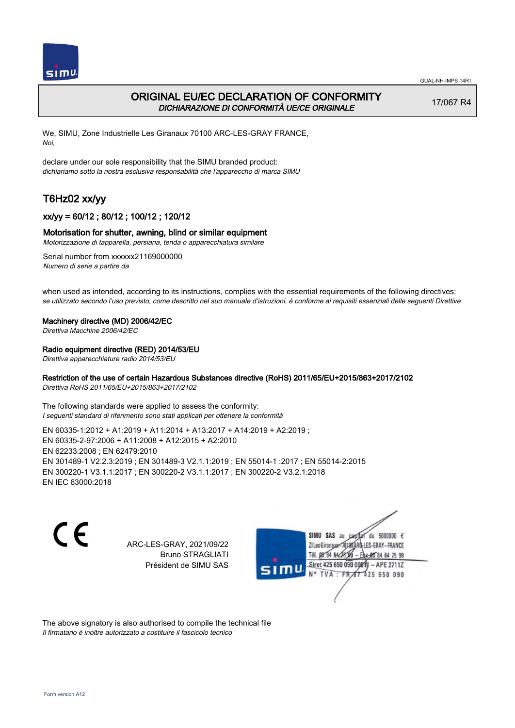

# ORIGINAL EU/EC DECLARATION OF CONFORMITY DICHIARAZIONE DI CONFORMITÀ UE/CE ORIGINALE

17/067 R4

We, SIMU, Zone Industrielle Les Giranaux 70100 ARC-LES-GRAY FRANCE, Noi,

declare under our sole responsibility that the SIMU branded product: dichiariamo sotto la nostra esclusiva responsabilità che l'appareccho di marca SIMU

# T6Hz02 xx/yy

# xx/yy = 60/12 ; 80/12 ; 100/12 ; 120/12

### Motorisation for shutter, awning, blind or similar equipment

Motorizzazione di tapparella, persiana, tenda o apparecchiatura similare

Serial number from xxxxxx21169000000 Numero di serie a partire da

when used as intended, according to its instructions, complies with the essential requirements of the following directives: se utilizzato secondo l'uso previsto, come descritto nel suo manuale d'istruzioni, è conforme ai requisiti essenziali delle seguenti Direttive

#### Machinery directive (MD) 2006/42/EC

Direttiva Macchine 2006/42/EC

### Radio equipment directive (RED) 2014/53/EU

Direttiva apparecchiature radio 2014/53/EU

## Restriction of the use of certain Hazardous Substances directive (RoHS) 2011/65/EU+2015/863+2017/2102

Direttiva RoHS 2011/65/EU+2015/863+2017/2102

The following standards were applied to assess the conformity: I seguenti standard di riferimento sono stati applicati per ottenere la conformità

EN 60335‑1:2012 + A1:2019 + A11:2014 + A13:2017 + A14:2019 + A2:2019 ; EN 60335‑2‑97:2006 + A11:2008 + A12:2015 + A2:2010 EN 62233:2008 ; EN 62479:2010 EN 301489‑1 V2.2.3:2019 ; EN 301489‑3 V2.1.1:2019 ; EN 55014‑1 :2017 ; EN 55014‑2:2015 EN 300220‑1 V3.1.1:2017 ; EN 300220‑2 V3.1.1:2017 ; EN 300220‑2 V3.2.1:2018 EN IEC 63000:2018

 $\epsilon$ 

ARC-LES-GRAY, 2021/09/22 Bruno STRAGLIATI Président de SIMU SAS



The above signatory is also authorised to compile the technical file Il firmatario è inoltre autorizzato a costituire il fascicolo tecnico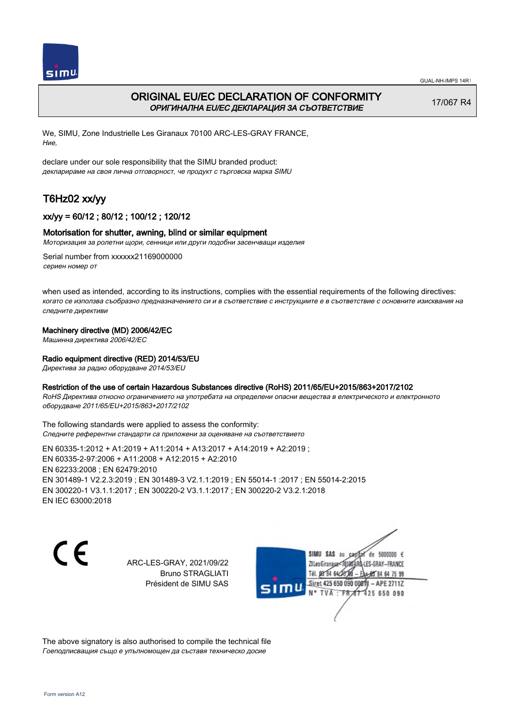

# ORIGINAL EU/EC DECLARATION OF CONFORMITY ОРИГИНАЛНА EU/EC ДЕКЛАРАЦИЯ ЗА СЪОТВЕТСТВИЕ

17/067 R4

We, SIMU, Zone Industrielle Les Giranaux 70100 ARC-LES-GRAY FRANCE, Ние,

declare under our sole responsibility that the SIMU branded product: декларираме на своя лична отговорност, че продукт с търговска марка SIMU

# T6Hz02 xx/yy

# xx/yy = 60/12 ; 80/12 ; 100/12 ; 120/12

### Motorisation for shutter, awning, blind or similar equipment

Моторизация за ролетни щори, сенници или други подобни засенчващи изделия

Serial number from xxxxxx21169000000 сериен номер от

when used as intended, according to its instructions, complies with the essential requirements of the following directives: когато се използва съобразно предназначението си и в съответствие с инструкциите е в съответствие с основните изисквания на следните директиви

### Machinery directive (MD) 2006/42/EC

Машинна директива 2006/42/EC

### Radio equipment directive (RED) 2014/53/EU

Директива за радио оборудване 2014/53/EU

### Restriction of the use of certain Hazardous Substances directive (RoHS) 2011/65/EU+2015/863+2017/2102

RoHS Директива относно ограничението на употребата на определени опасни вещества в електрическото и електронното оборудване 2011/65/EU+2015/863+2017/2102

The following standards were applied to assess the conformity: Следните референтни стандарти са приложени за оценяване на съответствието

EN 60335‑1:2012 + A1:2019 + A11:2014 + A13:2017 + A14:2019 + A2:2019 ; EN 60335‑2‑97:2006 + A11:2008 + A12:2015 + A2:2010 EN 62233:2008 ; EN 62479:2010 EN 301489‑1 V2.2.3:2019 ; EN 301489‑3 V2.1.1:2019 ; EN 55014‑1 :2017 ; EN 55014‑2:2015 EN 300220‑1 V3.1.1:2017 ; EN 300220‑2 V3.1.1:2017 ; EN 300220‑2 V3.2.1:2018 EN IEC 63000:2018

C E

ARC-LES-GRAY, 2021/09/22 Bruno STRAGLIATI Président de SIMU SAS



The above signatory is also authorised to compile the technical file Гоеподписващия също е упълномощен да съставя техническо досие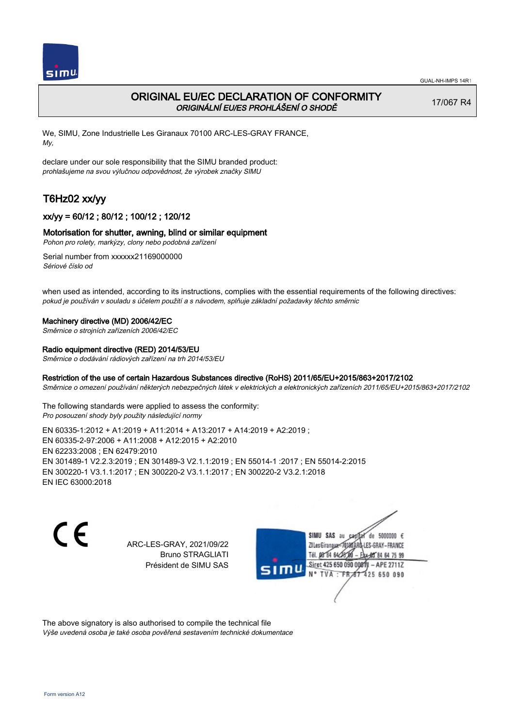

# ORIGINAL EU/EC DECLARATION OF CONFORMITY ORIGINÁLNÍ EU/ES PROHLÁŠENÍ O SHODĚ

17/067 R4

We, SIMU, Zone Industrielle Les Giranaux 70100 ARC-LES-GRAY FRANCE, My,

declare under our sole responsibility that the SIMU branded product: prohlašujeme na svou výlučnou odpovědnost, že výrobek značky SIMU

# T6Hz02 xx/yy

# xx/yy = 60/12 ; 80/12 ; 100/12 ; 120/12

### Motorisation for shutter, awning, blind or similar equipment

Pohon pro rolety, markýzy, clony nebo podobná zařízení

Serial number from xxxxxx21169000000 Sériové číslo od

when used as intended, according to its instructions, complies with the essential requirements of the following directives: pokud je používán v souladu s účelem použití a s návodem, splňuje základní požadavky těchto směrnic

#### Machinery directive (MD) 2006/42/EC

Směrnice o strojních zařízeních 2006/42/EC

#### Radio equipment directive (RED) 2014/53/EU

Směrnice o dodávání rádiových zařízení na trh 2014/53/EU

#### Restriction of the use of certain Hazardous Substances directive (RoHS) 2011/65/EU+2015/863+2017/2102

Směrnice o omezení používání některých nebezpečných látek v elektrických a elektronických zařízeních 2011/65/EU+2015/863+2017/2102

The following standards were applied to assess the conformity: Pro posouzení shody byly použity následující normy

EN 60335‑1:2012 + A1:2019 + A11:2014 + A13:2017 + A14:2019 + A2:2019 ; EN 60335‑2‑97:2006 + A11:2008 + A12:2015 + A2:2010 EN 62233:2008 ; EN 62479:2010 EN 301489‑1 V2.2.3:2019 ; EN 301489‑3 V2.1.1:2019 ; EN 55014‑1 :2017 ; EN 55014‑2:2015 EN 300220‑1 V3.1.1:2017 ; EN 300220‑2 V3.1.1:2017 ; EN 300220‑2 V3.2.1:2018 EN IEC 63000:2018

 $\epsilon$ 

ARC-LES-GRAY, 2021/09/22 Bruno STRAGLIATI Président de SIMU SAS



The above signatory is also authorised to compile the technical file Výše uvedená osoba je také osoba pověřená sestavením technické dokumentace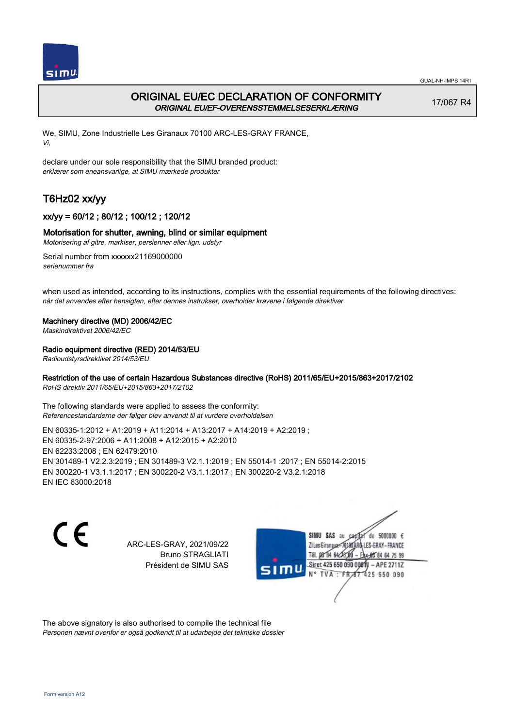

# ORIGINAL EU/EC DECLARATION OF CONFORMITY ORIGINAL EU/EF-OVERENSSTEMMELSESERKLÆRING

17/067 R4

We, SIMU, Zone Industrielle Les Giranaux 70100 ARC-LES-GRAY FRANCE, Vi,

declare under our sole responsibility that the SIMU branded product: erklærer som eneansvarlige, at SIMU mærkede produkter

# T6Hz02 xx/yy

# xx/yy = 60/12 ; 80/12 ; 100/12 ; 120/12

### Motorisation for shutter, awning, blind or similar equipment

Motorisering af gitre, markiser, persienner eller lign. udstyr

Serial number from xxxxxx21169000000 serienummer fra

when used as intended, according to its instructions, complies with the essential requirements of the following directives: når det anvendes efter hensigten, efter dennes instrukser, overholder kravene i følgende direktiver

#### Machinery directive (MD) 2006/42/EC

Maskindirektivet 2006/42/EC

### Radio equipment directive (RED) 2014/53/EU

Radioudstyrsdirektivet 2014/53/EU

### Restriction of the use of certain Hazardous Substances directive (RoHS) 2011/65/EU+2015/863+2017/2102

RoHS direktiv 2011/65/EU+2015/863+2017/2102

The following standards were applied to assess the conformity: Referencestandarderne der følger blev anvendt til at vurdere overholdelsen

EN 60335‑1:2012 + A1:2019 + A11:2014 + A13:2017 + A14:2019 + A2:2019 ; EN 60335‑2‑97:2006 + A11:2008 + A12:2015 + A2:2010 EN 62233:2008 ; EN 62479:2010 EN 301489‑1 V2.2.3:2019 ; EN 301489‑3 V2.1.1:2019 ; EN 55014‑1 :2017 ; EN 55014‑2:2015 EN 300220‑1 V3.1.1:2017 ; EN 300220‑2 V3.1.1:2017 ; EN 300220‑2 V3.2.1:2018 EN IEC 63000:2018

 $\epsilon$ 

ARC-LES-GRAY, 2021/09/22 Bruno STRAGLIATI Président de SIMU SAS



The above signatory is also authorised to compile the technical file Personen nævnt ovenfor er også godkendt til at udarbejde det tekniske dossier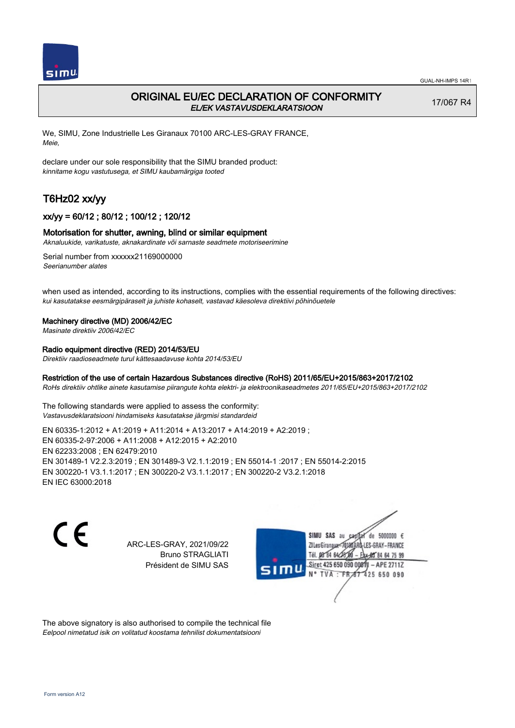

# ORIGINAL EU/EC DECLARATION OF CONFORMITY EL/EK VASTAVUSDEKLARATSIOON

17/067 R4

We, SIMU, Zone Industrielle Les Giranaux 70100 ARC-LES-GRAY FRANCE, Meie,

declare under our sole responsibility that the SIMU branded product: kinnitame kogu vastutusega, et SIMU kaubamärgiga tooted

# T6Hz02 xx/yy

## xx/yy = 60/12 ; 80/12 ; 100/12 ; 120/12

### Motorisation for shutter, awning, blind or similar equipment

Aknaluukide, varikatuste, aknakardinate või sarnaste seadmete motoriseerimine

Serial number from xxxxxx21169000000 Seerianumber alates

when used as intended, according to its instructions, complies with the essential requirements of the following directives: kui kasutatakse eesmärgipäraselt ja juhiste kohaselt, vastavad käesoleva direktiivi põhinõuetele

#### Machinery directive (MD) 2006/42/EC

Masinate direktiiv 2006/42/EC

# Radio equipment directive (RED) 2014/53/EU

Direktiiv raadioseadmete turul kättesaadavuse kohta 2014/53/EU

### Restriction of the use of certain Hazardous Substances directive (RoHS) 2011/65/EU+2015/863+2017/2102

RoHs direktiiv ohtlike ainete kasutamise piirangute kohta elektri- ja elektroonikaseadmetes 2011/65/EU+2015/863+2017/2102

The following standards were applied to assess the conformity: Vastavusdeklaratsiooni hindamiseks kasutatakse järgmisi standardeid

EN 60335‑1:2012 + A1:2019 + A11:2014 + A13:2017 + A14:2019 + A2:2019 ; EN 60335‑2‑97:2006 + A11:2008 + A12:2015 + A2:2010 EN 62233:2008 ; EN 62479:2010 EN 301489‑1 V2.2.3:2019 ; EN 301489‑3 V2.1.1:2019 ; EN 55014‑1 :2017 ; EN 55014‑2:2015 EN 300220‑1 V3.1.1:2017 ; EN 300220‑2 V3.1.1:2017 ; EN 300220‑2 V3.2.1:2018 EN IEC 63000:2018

 $\epsilon$ 

ARC-LES-GRAY, 2021/09/22 Bruno STRAGLIATI Président de SIMU SAS



The above signatory is also authorised to compile the technical file Eelpool nimetatud isik on volitatud koostama tehnilist dokumentatsiooni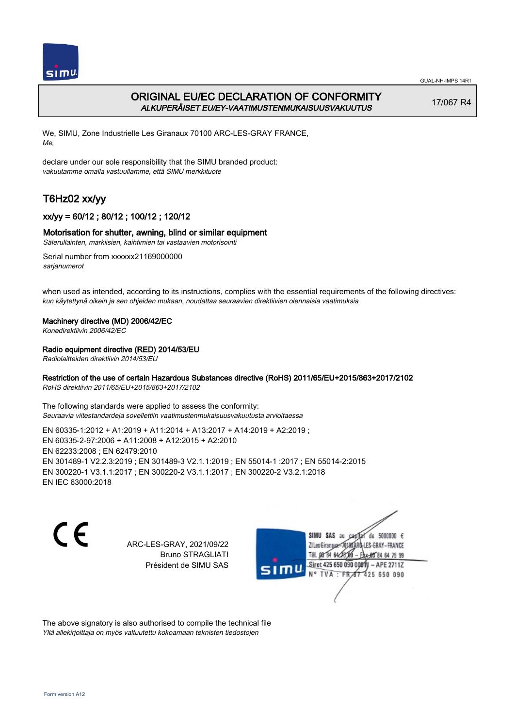

# ORIGINAL EU/EC DECLARATION OF CONFORMITY ALKUPERÄISET EU/EY-VAATIMUSTENMUKAISUUSVAKUUTUS

17/067 R4

We, SIMU, Zone Industrielle Les Giranaux 70100 ARC-LES-GRAY FRANCE, Me,

declare under our sole responsibility that the SIMU branded product: vakuutamme omalla vastuullamme, että SIMU merkkituote

# T6Hz02 xx/yy

# xx/yy = 60/12 ; 80/12 ; 100/12 ; 120/12

### Motorisation for shutter, awning, blind or similar equipment

Sälerullainten, markiisien, kaihtimien tai vastaavien motorisointi

Serial number from xxxxxx21169000000 sarjanumerot

when used as intended, according to its instructions, complies with the essential requirements of the following directives: kun käytettynä oikein ja sen ohjeiden mukaan, noudattaa seuraavien direktiivien olennaisia vaatimuksia

### Machinery directive (MD) 2006/42/EC

Konedirektiivin 2006/42/EC

### Radio equipment directive (RED) 2014/53/EU

Radiolaitteiden direktiivin 2014/53/EU

## Restriction of the use of certain Hazardous Substances directive (RoHS) 2011/65/EU+2015/863+2017/2102

RoHS direktiivin 2011/65/EU+2015/863+2017/2102

The following standards were applied to assess the conformity: Seuraavia viitestandardeja sovellettiin vaatimustenmukaisuusvakuutusta arvioitaessa

EN 60335‑1:2012 + A1:2019 + A11:2014 + A13:2017 + A14:2019 + A2:2019 ; EN 60335‑2‑97:2006 + A11:2008 + A12:2015 + A2:2010 EN 62233:2008 ; EN 62479:2010 EN 301489‑1 V2.2.3:2019 ; EN 301489‑3 V2.1.1:2019 ; EN 55014‑1 :2017 ; EN 55014‑2:2015 EN 300220‑1 V3.1.1:2017 ; EN 300220‑2 V3.1.1:2017 ; EN 300220‑2 V3.2.1:2018 EN IEC 63000:2018

 $\epsilon$ 

ARC-LES-GRAY, 2021/09/22 Bruno STRAGLIATI Président de SIMU SAS



The above signatory is also authorised to compile the technical file Yllä allekirjoittaja on myös valtuutettu kokoamaan teknisten tiedostojen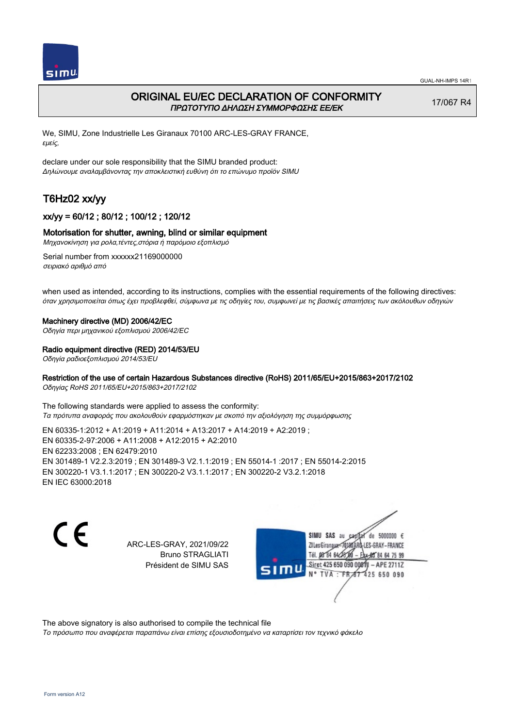

# ORIGINAL EU/EC DECLARATION OF CONFORMITY ΠΡΩΤΟΤΥΠΟ ΔΗΛΩΣΗ ΣΥΜΜΟΡΦΩΣΗΣ ΕΕ/EK

17/067 R4

We, SIMU, Zone Industrielle Les Giranaux 70100 ARC-LES-GRAY FRANCE, εμείς,

declare under our sole responsibility that the SIMU branded product: Δηλώνουμε αναλαμβάνοντας την αποκλειστική ευθύνη ότι το επώνυμο προϊόν SIMU

# T6Hz02 xx/yy

# xx/yy = 60/12 ; 80/12 ; 100/12 ; 120/12

### Motorisation for shutter, awning, blind or similar equipment

Μηχανοκίνηση για ρολα,τέντες,στόρια ή παρόμοιο εξοπλισμό

Serial number from xxxxxx21169000000 σειριακό αριθμό από

when used as intended, according to its instructions, complies with the essential requirements of the following directives: όταν χρησιμοποιείται όπως έχει προβλεφθεί, σύμφωνα με τις οδηγίες του, συμφωνεί με τις βασικές απαιτήσεις των ακόλουθων οδηγιών

#### Machinery directive (MD) 2006/42/EC

Οδηγία περι μηχανικού εξοπλισμού 2006/42/EC

#### Radio equipment directive (RED) 2014/53/EU

Οδηγία ραδιοεξοπλισμού 2014/53/EU

## Restriction of the use of certain Hazardous Substances directive (RoHS) 2011/65/EU+2015/863+2017/2102

Οδηγίας RoHS 2011/65/EU+2015/863+2017/2102

The following standards were applied to assess the conformity: Τα πρότυπα αναφοράς που ακολουθούν εφαρμόστηκαν με σκοπό την αξιολόγηση της συμμόρφωσης

EN 60335‑1:2012 + A1:2019 + A11:2014 + A13:2017 + A14:2019 + A2:2019 ; EN 60335‑2‑97:2006 + A11:2008 + A12:2015 + A2:2010 EN 62233:2008 ; EN 62479:2010 EN 301489‑1 V2.2.3:2019 ; EN 301489‑3 V2.1.1:2019 ; EN 55014‑1 :2017 ; EN 55014‑2:2015 EN 300220‑1 V3.1.1:2017 ; EN 300220‑2 V3.1.1:2017 ; EN 300220‑2 V3.2.1:2018 EN IEC 63000:2018

C F

ARC-LES-GRAY, 2021/09/22 Bruno STRAGLIATI Président de SIMU SAS



The above signatory is also authorised to compile the technical file

Το πρόσωπο που αναφέρεται παραπάνω είναι επίσης εξουσιοδοτημένο να καταρτίσει τον τεχνικό φάκελο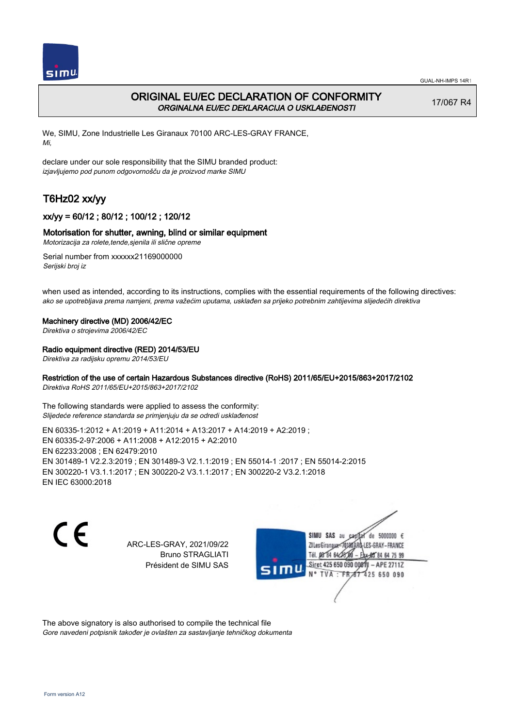

# ORIGINAL EU/EC DECLARATION OF CONFORMITY ORGINALNA EU/EC DEKLARACIJA O USKLAĐENOSTI

17/067 R4

We, SIMU, Zone Industrielle Les Giranaux 70100 ARC-LES-GRAY FRANCE, Mi,

declare under our sole responsibility that the SIMU branded product: izjavljujemo pod punom odgovornošču da je proizvod marke SIMU

# T6Hz02 xx/yy

# xx/yy = 60/12 ; 80/12 ; 100/12 ; 120/12

### Motorisation for shutter, awning, blind or similar equipment

Motorizacija za rolete,tende,sjenila ili slične opreme

Serial number from xxxxxx21169000000 Serijski broj iz

when used as intended, according to its instructions, complies with the essential requirements of the following directives: ako se upotrebljava prema namjeni, prema važećim uputama, usklađen sa prijeko potrebnim zahtijevima slijedećih direktiva

#### Machinery directive (MD) 2006/42/EC

Direktiva o strojevima 2006/42/EC

#### Radio equipment directive (RED) 2014/53/EU

Direktiva za radijsku opremu 2014/53/EU

## Restriction of the use of certain Hazardous Substances directive (RoHS) 2011/65/EU+2015/863+2017/2102

Direktiva RoHS 2011/65/EU+2015/863+2017/2102

The following standards were applied to assess the conformity: Slijedeće reference standarda se primjenjuju da se odredi usklađenost

EN 60335‑1:2012 + A1:2019 + A11:2014 + A13:2017 + A14:2019 + A2:2019 ; EN 60335‑2‑97:2006 + A11:2008 + A12:2015 + A2:2010 EN 62233:2008 ; EN 62479:2010 EN 301489‑1 V2.2.3:2019 ; EN 301489‑3 V2.1.1:2019 ; EN 55014‑1 :2017 ; EN 55014‑2:2015 EN 300220‑1 V3.1.1:2017 ; EN 300220‑2 V3.1.1:2017 ; EN 300220‑2 V3.2.1:2018 EN IEC 63000:2018

 $\epsilon$ 

ARC-LES-GRAY, 2021/09/22 Bruno STRAGLIATI Président de SIMU SAS



The above signatory is also authorised to compile the technical file Gore navedeni potpisnik također je ovlašten za sastavljanje tehničkog dokumenta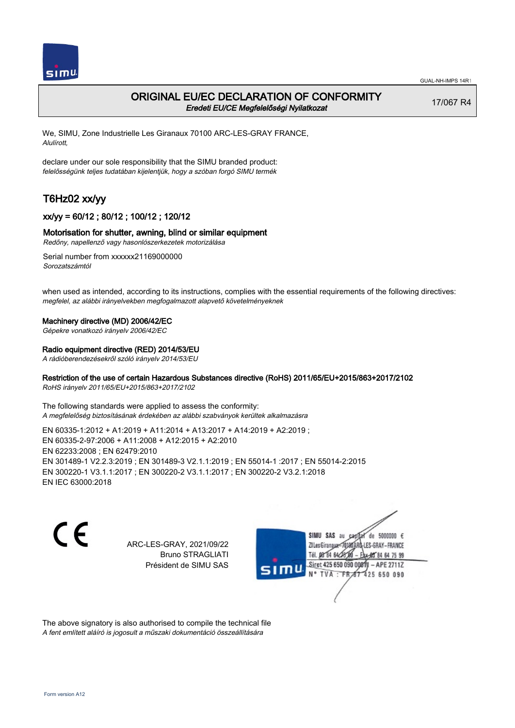

# ORIGINAL EU/EC DECLARATION OF CONFORMITY Eredeti EU/CE Megfelelőségi Nyilatkozat

17/067 R4

We, SIMU, Zone Industrielle Les Giranaux 70100 ARC-LES-GRAY FRANCE, Alulírott,

declare under our sole responsibility that the SIMU branded product: felelősségünk teljes tudatában kijelentjük, hogy a szóban forgó SIMU termék

# T6Hz02 xx/yy

# xx/yy = 60/12 ; 80/12 ; 100/12 ; 120/12

### Motorisation for shutter, awning, blind or similar equipment

Redőny, napellenző vagy hasonlószerkezetek motorizálása

Serial number from xxxxxx21169000000 Sorozatszámtól

when used as intended, according to its instructions, complies with the essential requirements of the following directives: megfelel, az alábbi irányelvekben megfogalmazott alapvető követelményeknek

### Machinery directive (MD) 2006/42/EC

Gépekre vonatkozó irányelv 2006/42/EC

#### Radio equipment directive (RED) 2014/53/EU

A rádióberendezésekről szóló irányelv 2014/53/EU

### Restriction of the use of certain Hazardous Substances directive (RoHS) 2011/65/EU+2015/863+2017/2102

RoHS irányelv 2011/65/EU+2015/863+2017/2102

The following standards were applied to assess the conformity: A megfelelőség biztosításának érdekében az alábbi szabványok kerültek alkalmazásra

EN 60335‑1:2012 + A1:2019 + A11:2014 + A13:2017 + A14:2019 + A2:2019 ; EN 60335‑2‑97:2006 + A11:2008 + A12:2015 + A2:2010 EN 62233:2008 ; EN 62479:2010 EN 301489‑1 V2.2.3:2019 ; EN 301489‑3 V2.1.1:2019 ; EN 55014‑1 :2017 ; EN 55014‑2:2015 EN 300220‑1 V3.1.1:2017 ; EN 300220‑2 V3.1.1:2017 ; EN 300220‑2 V3.2.1:2018 EN IEC 63000:2018

C F

ARC-LES-GRAY, 2021/09/22 Bruno STRAGLIATI Président de SIMU SAS



The above signatory is also authorised to compile the technical file A fent említett aláíró is jogosult a műszaki dokumentáció összeállítására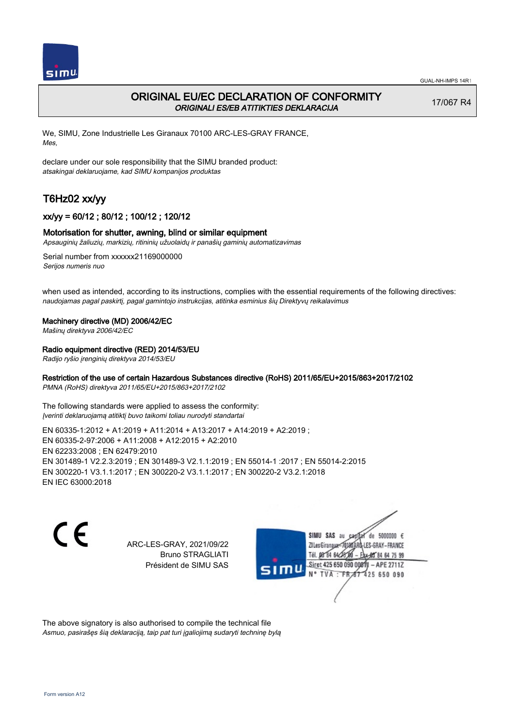

# ORIGINAL EU/EC DECLARATION OF CONFORMITY ORIGINALI ES/EB ATITIKTIES DEKLARACIJA

17/067 R4

We, SIMU, Zone Industrielle Les Giranaux 70100 ARC-LES-GRAY FRANCE, Mes,

declare under our sole responsibility that the SIMU branded product: atsakingai deklaruojame, kad SIMU kompanijos produktas

# T6Hz02 xx/yy

# xx/yy = 60/12 ; 80/12 ; 100/12 ; 120/12

### Motorisation for shutter, awning, blind or similar equipment

Apsauginių žaliuzių, markizių, ritininių užuolaidų ir panašių gaminių automatizavimas

Serial number from xxxxxx21169000000 Serijos numeris nuo

when used as intended, according to its instructions, complies with the essential requirements of the following directives: naudojamas pagal paskirtį, pagal gamintojo instrukcijas, atitinka esminius šių Direktyvų reikalavimus

#### Machinery directive (MD) 2006/42/EC

Mašinų direktyva 2006/42/EC

### Radio equipment directive (RED) 2014/53/EU

Radijo ryšio įrenginių direktyva 2014/53/EU

## Restriction of the use of certain Hazardous Substances directive (RoHS) 2011/65/EU+2015/863+2017/2102

PMNA (RoHS) direktyva 2011/65/EU+2015/863+2017/2102

The following standards were applied to assess the conformity: Įverinti deklaruojamą atitiktį buvo taikomi toliau nurodyti standartai

EN 60335‑1:2012 + A1:2019 + A11:2014 + A13:2017 + A14:2019 + A2:2019 ; EN 60335‑2‑97:2006 + A11:2008 + A12:2015 + A2:2010 EN 62233:2008 ; EN 62479:2010 EN 301489‑1 V2.2.3:2019 ; EN 301489‑3 V2.1.1:2019 ; EN 55014‑1 :2017 ; EN 55014‑2:2015 EN 300220‑1 V3.1.1:2017 ; EN 300220‑2 V3.1.1:2017 ; EN 300220‑2 V3.2.1:2018 EN IEC 63000:2018

C F

ARC-LES-GRAY, 2021/09/22 Bruno STRAGLIATI Président de SIMU SAS



The above signatory is also authorised to compile the technical file Asmuo, pasirašęs šią deklaraciją, taip pat turi įgaliojimą sudaryti techninę bylą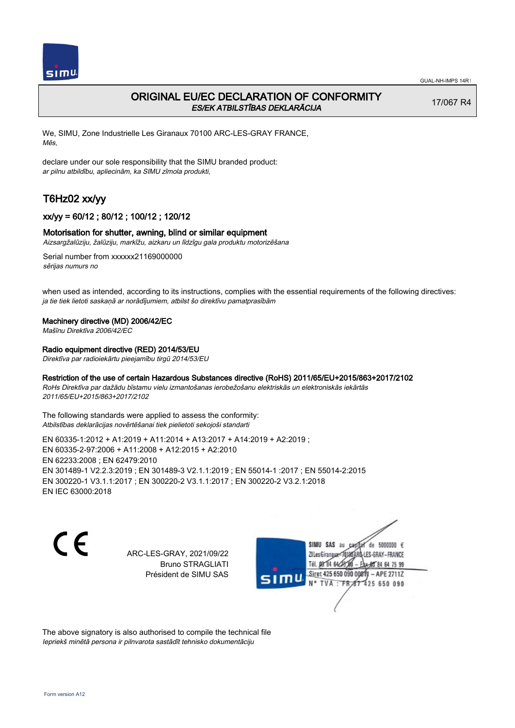

# ORIGINAL EU/EC DECLARATION OF CONFORMITY ES/EK ATBILSTĪBAS DEKLARĀCIJA

17/067 R4

We, SIMU, Zone Industrielle Les Giranaux 70100 ARC-LES-GRAY FRANCE, Mēs,

declare under our sole responsibility that the SIMU branded product: ar pilnu atbildību, apliecinām, ka SIMU zīmola produkti,

# T6Hz02 xx/yy

# xx/yy = 60/12 ; 80/12 ; 100/12 ; 120/12

### Motorisation for shutter, awning, blind or similar equipment

Aizsargžalūziju, žalūziju, markīžu, aizkaru un līdzīgu gala produktu motorizēšana

Serial number from xxxxxx21169000000 sērijas numurs no

when used as intended, according to its instructions, complies with the essential requirements of the following directives: ja tie tiek lietoti saskaņā ar norādījumiem, atbilst šo direktīvu pamatprasībām

#### Machinery directive (MD) 2006/42/EC

Mašīnu Direktīva 2006/42/EC

### Radio equipment directive (RED) 2014/53/EU

Direktīva par radioiekārtu pieejamību tirgū 2014/53/EU

### Restriction of the use of certain Hazardous Substances directive (RoHS) 2011/65/EU+2015/863+2017/2102

RoHs Direktīva par dažādu bīstamu vielu izmantošanas ierobežošanu elektriskās un elektroniskās iekārtās 2011/65/EU+2015/863+2017/2102

The following standards were applied to assess the conformity: Atbilstības deklarācijas novērtēšanai tiek pielietoti sekojoši standarti

EN 60335‑1:2012 + A1:2019 + A11:2014 + A13:2017 + A14:2019 + A2:2019 ; EN 60335‑2‑97:2006 + A11:2008 + A12:2015 + A2:2010 EN 62233:2008 ; EN 62479:2010 EN 301489‑1 V2.2.3:2019 ; EN 301489‑3 V2.1.1:2019 ; EN 55014‑1 :2017 ; EN 55014‑2:2015 EN 300220‑1 V3.1.1:2017 ; EN 300220‑2 V3.1.1:2017 ; EN 300220‑2 V3.2.1:2018 EN IEC 63000:2018

C E

ARC-LES-GRAY, 2021/09/22 Bruno STRAGLIATI Président de SIMU SAS

SIMU SAS au de 5000000  $\epsilon$ ZI Les Giranaux</r0180 LES-GRAY-FRANCE Tél. 08 84 64 28 64 75 99 Siret 425 650 090 0081) - APE 2711Z  $TVA : FRAT$ 425 650 090

The above signatory is also authorised to compile the technical file Iepriekš minētā persona ir pilnvarota sastādīt tehnisko dokumentāciju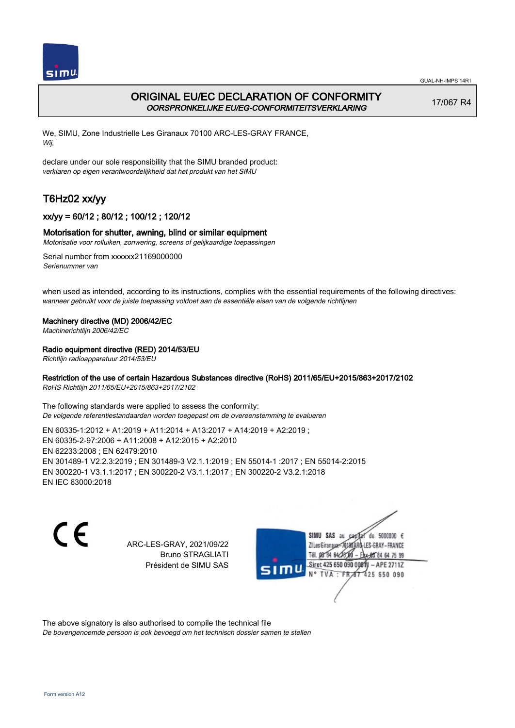

# ORIGINAL EU/EC DECLARATION OF CONFORMITY OORSPRONKELIJKE EU/EG-CONFORMITEITSVERKLARING

17/067 R4

We, SIMU, Zone Industrielle Les Giranaux 70100 ARC-LES-GRAY FRANCE, Wij,

declare under our sole responsibility that the SIMU branded product: verklaren op eigen verantwoordelijkheid dat het produkt van het SIMU

# T6Hz02 xx/yy

# xx/yy = 60/12 ; 80/12 ; 100/12 ; 120/12

# Motorisation for shutter, awning, blind or similar equipment

Motorisatie voor rolluiken, zonwering, screens of gelijkaardige toepassingen

Serial number from xxxxxx21169000000 Serienummer van

when used as intended, according to its instructions, complies with the essential requirements of the following directives: wanneer gebruikt voor de juiste toepassing voldoet aan de essentiële eisen van de volgende richtlijnen

### Machinery directive (MD) 2006/42/EC

Machinerichtlijn 2006/42/EC

### Radio equipment directive (RED) 2014/53/EU

Richtlijn radioapparatuur 2014/53/EU

### Restriction of the use of certain Hazardous Substances directive (RoHS) 2011/65/EU+2015/863+2017/2102

RoHS Richtlijn 2011/65/EU+2015/863+2017/2102

The following standards were applied to assess the conformity: De volgende referentiestandaarden worden toegepast om de overeenstemming te evalueren

EN 60335‑1:2012 + A1:2019 + A11:2014 + A13:2017 + A14:2019 + A2:2019 ; EN 60335‑2‑97:2006 + A11:2008 + A12:2015 + A2:2010 EN 62233:2008 ; EN 62479:2010 EN 301489‑1 V2.2.3:2019 ; EN 301489‑3 V2.1.1:2019 ; EN 55014‑1 :2017 ; EN 55014‑2:2015 EN 300220‑1 V3.1.1:2017 ; EN 300220‑2 V3.1.1:2017 ; EN 300220‑2 V3.2.1:2018 EN IEC 63000:2018

 $\epsilon$ 

ARC-LES-GRAY, 2021/09/22 Bruno STRAGLIATI Président de SIMU SAS



The above signatory is also authorised to compile the technical file

De bovengenoemde persoon is ook bevoegd om het technisch dossier samen te stellen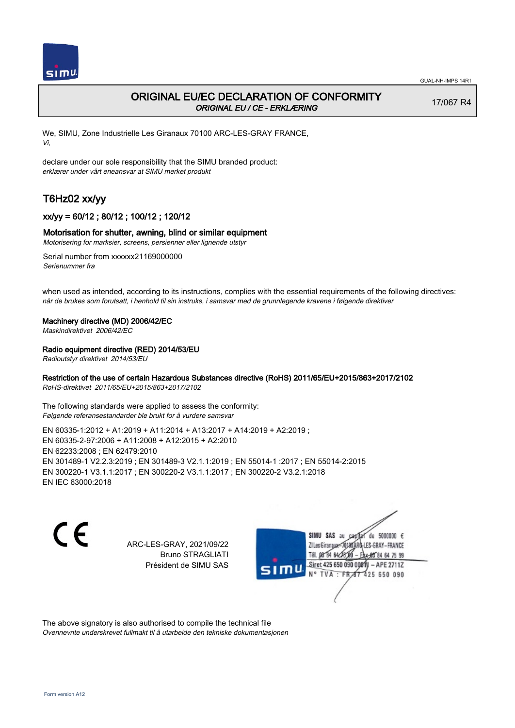

# ORIGINAL EU/EC DECLARATION OF CONFORMITY ORIGINAL EU / CE - ERKLÆRING

17/067 R4

We, SIMU, Zone Industrielle Les Giranaux 70100 ARC-LES-GRAY FRANCE, Vi,

declare under our sole responsibility that the SIMU branded product: erklærer under vårt eneansvar at SIMU merket produkt

# T6Hz02 xx/yy

# xx/yy = 60/12 ; 80/12 ; 100/12 ; 120/12

### Motorisation for shutter, awning, blind or similar equipment

Motorisering for marksier, screens, persienner eller lignende utstyr

Serial number from xxxxxx21169000000 Serienummer fra

when used as intended, according to its instructions, complies with the essential requirements of the following directives: når de brukes som forutsatt, i henhold til sin instruks, i samsvar med de grunnlegende kravene i følgende direktiver

### Machinery directive (MD) 2006/42/EC

Maskindirektivet 2006/42/EC

### Radio equipment directive (RED) 2014/53/EU

Radioutstyr direktivet 2014/53/EU

## Restriction of the use of certain Hazardous Substances directive (RoHS) 2011/65/EU+2015/863+2017/2102

RoHS-direktivet 2011/65/EU+2015/863+2017/2102

The following standards were applied to assess the conformity: Følgende referansestandarder ble brukt for å vurdere samsvar

EN 60335‑1:2012 + A1:2019 + A11:2014 + A13:2017 + A14:2019 + A2:2019 ; EN 60335‑2‑97:2006 + A11:2008 + A12:2015 + A2:2010 EN 62233:2008 ; EN 62479:2010 EN 301489‑1 V2.2.3:2019 ; EN 301489‑3 V2.1.1:2019 ; EN 55014‑1 :2017 ; EN 55014‑2:2015 EN 300220‑1 V3.1.1:2017 ; EN 300220‑2 V3.1.1:2017 ; EN 300220‑2 V3.2.1:2018 EN IEC 63000:2018

 $\epsilon$ 

ARC-LES-GRAY, 2021/09/22 Bruno STRAGLIATI Président de SIMU SAS



The above signatory is also authorised to compile the technical file Ovennevnte underskrevet fullmakt til å utarbeide den tekniske dokumentasjonen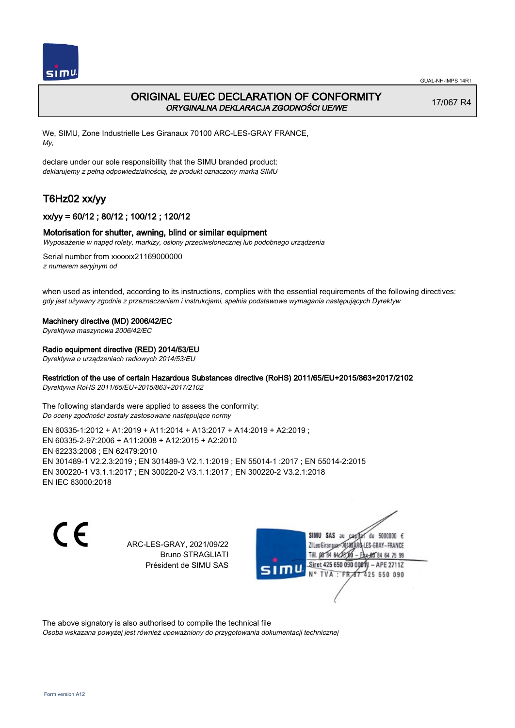

# ORIGINAL EU/EC DECLARATION OF CONFORMITY ORYGINALNA DEKLARACJA ZGODNOŚCI UE/WE

17/067 R4

We, SIMU, Zone Industrielle Les Giranaux 70100 ARC-LES-GRAY FRANCE, My,

declare under our sole responsibility that the SIMU branded product: deklarujemy z pełną odpowiedzialnością, że produkt oznaczony marką SIMU

# T6Hz02 xx/yy

# xx/yy = 60/12 ; 80/12 ; 100/12 ; 120/12

### Motorisation for shutter, awning, blind or similar equipment

Wyposażenie w napęd rolety, markizy, osłony przeciwsłonecznej lub podobnego urządzenia

Serial number from xxxxxx21169000000 z numerem seryjnym od

when used as intended, according to its instructions, complies with the essential requirements of the following directives: gdy jest używany zgodnie z przeznaczeniem i instrukcjami, spełnia podstawowe wymagania następujących Dyrektyw

#### Machinery directive (MD) 2006/42/EC

Dyrektywa maszynowa 2006/42/EC

#### Radio equipment directive (RED) 2014/53/EU

Dyrektywa o urządzeniach radiowych 2014/53/EU

## Restriction of the use of certain Hazardous Substances directive (RoHS) 2011/65/EU+2015/863+2017/2102

Dyrektywa RoHS 2011/65/EU+2015/863+2017/2102

The following standards were applied to assess the conformity: Do oceny zgodności zostały zastosowane następujące normy

EN 60335‑1:2012 + A1:2019 + A11:2014 + A13:2017 + A14:2019 + A2:2019 ; EN 60335‑2‑97:2006 + A11:2008 + A12:2015 + A2:2010 EN 62233:2008 ; EN 62479:2010 EN 301489‑1 V2.2.3:2019 ; EN 301489‑3 V2.1.1:2019 ; EN 55014‑1 :2017 ; EN 55014‑2:2015 EN 300220‑1 V3.1.1:2017 ; EN 300220‑2 V3.1.1:2017 ; EN 300220‑2 V3.2.1:2018 EN IEC 63000:2018

C F

ARC-LES-GRAY, 2021/09/22 Bruno STRAGLIATI Président de SIMU SAS



The above signatory is also authorised to compile the technical file

Osoba wskazana powyżej jest również upoważniony do przygotowania dokumentacji technicznej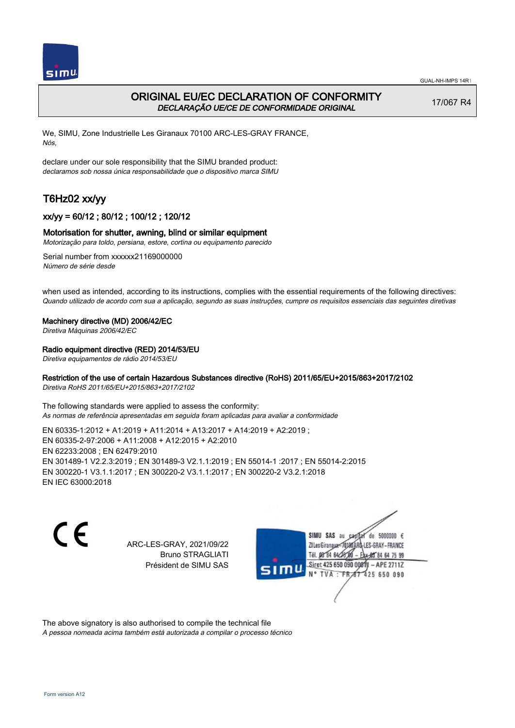

# ORIGINAL EU/EC DECLARATION OF CONFORMITY DECLARAÇÃO UE/CE DE CONFORMIDADE ORIGINAL

17/067 R4

We, SIMU, Zone Industrielle Les Giranaux 70100 ARC-LES-GRAY FRANCE, Nós,

declare under our sole responsibility that the SIMU branded product: declaramos sob nossa única responsabilidade que o dispositivo marca SIMU

# T6Hz02 xx/yy

# xx/yy = 60/12 ; 80/12 ; 100/12 ; 120/12

### Motorisation for shutter, awning, blind or similar equipment

Motorização para toldo, persiana, estore, cortina ou equipamento parecido

Serial number from xxxxxx21169000000 Número de série desde

when used as intended, according to its instructions, complies with the essential requirements of the following directives: Quando utilizado de acordo com sua a aplicação, segundo as suas instruções, cumpre os requisitos essenciais das seguintes diretivas

#### Machinery directive (MD) 2006/42/EC

Diretiva Máquinas 2006/42/EC

### Radio equipment directive (RED) 2014/53/EU

Diretiva equipamentos de rádio 2014/53/EU

## Restriction of the use of certain Hazardous Substances directive (RoHS) 2011/65/EU+2015/863+2017/2102

Diretiva RoHS 2011/65/EU+2015/863+2017/2102

The following standards were applied to assess the conformity: As normas de referência apresentadas em seguida foram aplicadas para avaliar a conformidade

EN 60335‑1:2012 + A1:2019 + A11:2014 + A13:2017 + A14:2019 + A2:2019 ; EN 60335‑2‑97:2006 + A11:2008 + A12:2015 + A2:2010 EN 62233:2008 ; EN 62479:2010 EN 301489‑1 V2.2.3:2019 ; EN 301489‑3 V2.1.1:2019 ; EN 55014‑1 :2017 ; EN 55014‑2:2015 EN 300220‑1 V3.1.1:2017 ; EN 300220‑2 V3.1.1:2017 ; EN 300220‑2 V3.2.1:2018 EN IEC 63000:2018

 $\epsilon$ 

ARC-LES-GRAY, 2021/09/22 Bruno STRAGLIATI Président de SIMU SAS



The above signatory is also authorised to compile the technical file

A pessoa nomeada acima também está autorizada a compilar o processo técnico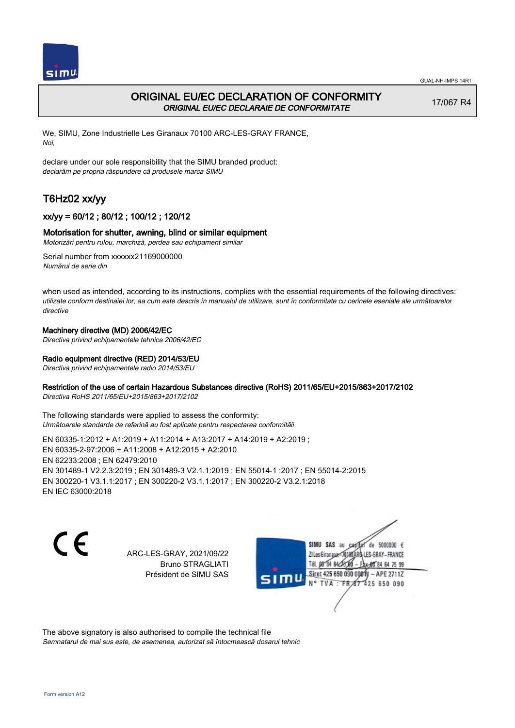

# ORIGINAL EU/EC DECLARATION OF CONFORMITY ORIGINAL EU/EC DECLARAIE DE CONFORMITATE

17/067 R4

We, SIMU, Zone Industrielle Les Giranaux 70100 ARC-LES-GRAY FRANCE, Noi,

declare under our sole responsibility that the SIMU branded product: declarăm pe propria răspundere că produsele marca SIMU

# T6Hz02 xx/yy

# xx/yy = 60/12 ; 80/12 ; 100/12 ; 120/12

### Motorisation for shutter, awning, blind or similar equipment

Motorizări pentru rulou, marchiză, perdea sau echipament similar

Serial number from xxxxxx21169000000 Numărul de serie din

when used as intended, according to its instructions, complies with the essential requirements of the following directives: utilizate conform destinaiei lor, aa cum este descris în manualul de utilizare, sunt în conformitate cu cerinele eseniale ale următoarelor directive

### Machinery directive (MD) 2006/42/EC

Directiva privind echipamentele tehnice 2006/42/EC

### Radio equipment directive (RED) 2014/53/EU

Directiva privind echipamentele radio 2014/53/EU

### Restriction of the use of certain Hazardous Substances directive (RoHS) 2011/65/EU+2015/863+2017/2102

Directiva RoHS 2011/65/EU+2015/863+2017/2102

The following standards were applied to assess the conformity: Următoarele standarde de referină au fost aplicate pentru respectarea conformităii

EN 60335‑1:2012 + A1:2019 + A11:2014 + A13:2017 + A14:2019 + A2:2019 ; EN 60335‑2‑97:2006 + A11:2008 + A12:2015 + A2:2010 EN 62233:2008 ; EN 62479:2010 EN 301489‑1 V2.2.3:2019 ; EN 301489‑3 V2.1.1:2019 ; EN 55014‑1 :2017 ; EN 55014‑2:2015 EN 300220‑1 V3.1.1:2017 ; EN 300220‑2 V3.1.1:2017 ; EN 300220‑2 V3.2.1:2018 EN IEC 63000:2018

C E

ARC-LES-GRAY, 2021/09/22 Bruno STRAGLIATI Président de SIMU SAS

de 5000000  $\epsilon$ SIMU SAS au ZI Les Giranaux-70180 LES-GRAY-FRANCE Tél. 08 84 64 24 64 75 99 Siret 425 650 090 0081) - APE 2711Z 425 650 090 TVA: FR

The above signatory is also authorised to compile the technical file Semnatarul de mai sus este, de asemenea, autorizat să întocmească dosarul tehnic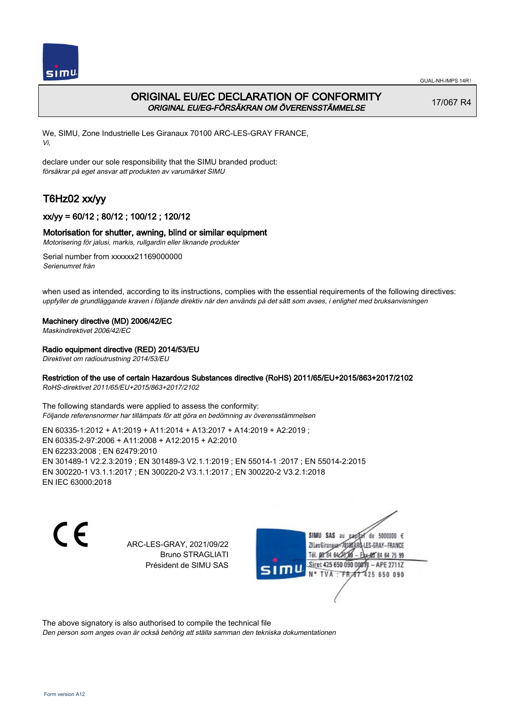

# ORIGINAL EU/EC DECLARATION OF CONFORMITY ORIGINAL EU/EG-FÖRSÄKRAN OM ÖVERENSSTÄMMELSE

17/067 R4

We, SIMU, Zone Industrielle Les Giranaux 70100 ARC-LES-GRAY FRANCE, Vi,

declare under our sole responsibility that the SIMU branded product: försäkrar på eget ansvar att produkten av varumärket SIMU

# T6Hz02 xx/yy

# xx/yy = 60/12 ; 80/12 ; 100/12 ; 120/12

# Motorisation for shutter, awning, blind or similar equipment

Motorisering för jalusi, markis, rullgardin eller liknande produkter

Serial number from xxxxxx21169000000 Serienumret från

when used as intended, according to its instructions, complies with the essential requirements of the following directives: uppfyller de grundläggande kraven i följande direktiv när den används på det sätt som avses, i enlighet med bruksanvisningen

### Machinery directive (MD) 2006/42/EC

Maskindirektivet 2006/42/EC

### Radio equipment directive (RED) 2014/53/EU

Direktivet om radioutrustning 2014/53/EU

## Restriction of the use of certain Hazardous Substances directive (RoHS) 2011/65/EU+2015/863+2017/2102

RoHS-direktivet 2011/65/EU+2015/863+2017/2102

The following standards were applied to assess the conformity: Följande referensnormer har tillämpats för att göra en bedömning av överensstämmelsen

EN 60335‑1:2012 + A1:2019 + A11:2014 + A13:2017 + A14:2019 + A2:2019 ; EN 60335‑2‑97:2006 + A11:2008 + A12:2015 + A2:2010 EN 62233:2008 ; EN 62479:2010 EN 301489‑1 V2.2.3:2019 ; EN 301489‑3 V2.1.1:2019 ; EN 55014‑1 :2017 ; EN 55014‑2:2015 EN 300220‑1 V3.1.1:2017 ; EN 300220‑2 V3.1.1:2017 ; EN 300220‑2 V3.2.1:2018 EN IEC 63000:2018

 $\epsilon$ 

ARC-LES-GRAY, 2021/09/22 Bruno STRAGLIATI Président de SIMU SAS



The above signatory is also authorised to compile the technical file

Den person som anges ovan är också behörig att ställa samman den tekniska dokumentationen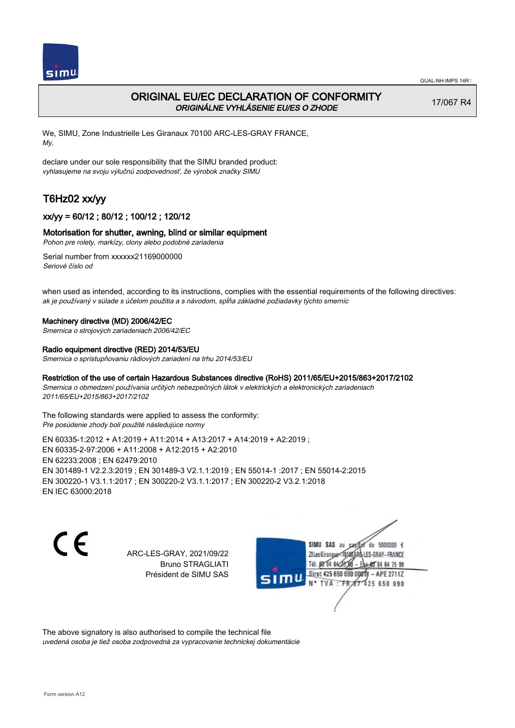

# ORIGINAL EU/EC DECLARATION OF CONFORMITY ORIGINÁLNE VYHLÁSENIE EU/ES O ZHODE

17/067 R4

We, SIMU, Zone Industrielle Les Giranaux 70100 ARC-LES-GRAY FRANCE, My,

declare under our sole responsibility that the SIMU branded product: vyhlasujeme na svoju výlučnú zodpovednosť, že výrobok značky SIMU

# T6Hz02 xx/yy

# xx/yy = 60/12 ; 80/12 ; 100/12 ; 120/12

### Motorisation for shutter, awning, blind or similar equipment

Pohon pre rolety, markízy, clony alebo podobné zariadenia

Serial number from xxxxxx21169000000 Seriové číslo od

when used as intended, according to its instructions, complies with the essential requirements of the following directives: ak je používaný v súlade s účelom použitia a s návodom, spĺňa základné požiadavky týchto smerníc

### Machinery directive (MD) 2006/42/EC

Smernica o strojových zariadeniach 2006/42/EC

#### Radio equipment directive (RED) 2014/53/EU

Smernica o sprístupňovaniu rádiových zariadení na trhu 2014/53/EU

### Restriction of the use of certain Hazardous Substances directive (RoHS) 2011/65/EU+2015/863+2017/2102

Smernica o obmedzení používania určitých nebezpečných látok v elektrických a elektronických zariadeniach 2011/65/EU+2015/863+2017/2102

The following standards were applied to assess the conformity: Pre posúdenie zhody boli použité následujúce normy

EN 60335‑1:2012 + A1:2019 + A11:2014 + A13:2017 + A14:2019 + A2:2019 ; EN 60335‑2‑97:2006 + A11:2008 + A12:2015 + A2:2010 EN 62233:2008 ; EN 62479:2010 EN 301489‑1 V2.2.3:2019 ; EN 301489‑3 V2.1.1:2019 ; EN 55014‑1 :2017 ; EN 55014‑2:2015 EN 300220‑1 V3.1.1:2017 ; EN 300220‑2 V3.1.1:2017 ; EN 300220‑2 V3.2.1:2018 EN IEC 63000:2018

C E

ARC-LES-GRAY, 2021/09/22 Bruno STRAGLIATI Président de SIMU SAS

SIMU SAS au de 5000000  $\epsilon$ ZI Les Giranaux</r0180 LES-GRAY-FRANCE Tél. 08 84 64 24 64 75 99 Siret 425 650 090 008TV - APE 2711Z 425 650 090 TVA : FRAT

The above signatory is also authorised to compile the technical file uvedená osoba je tiež osoba zodpovedná za vypracovanie technickej dokumentácie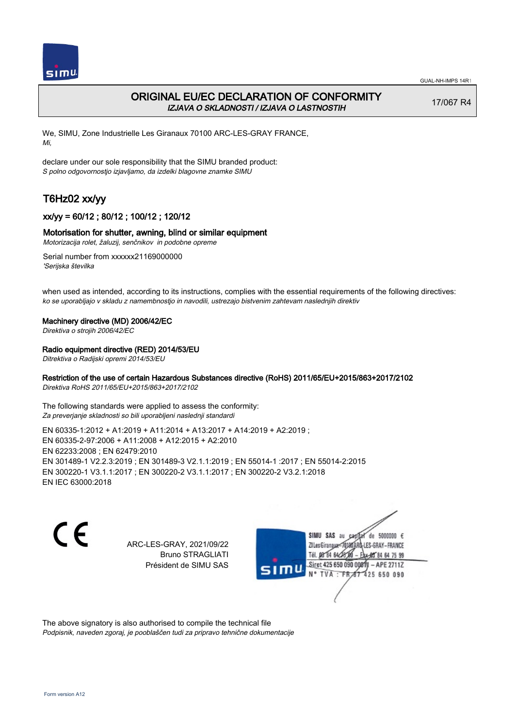

# ORIGINAL EU/EC DECLARATION OF CONFORMITY IZJAVA O SKLADNOSTI / IZJAVA O LASTNOSTIH

17/067 R4

We, SIMU, Zone Industrielle Les Giranaux 70100 ARC-LES-GRAY FRANCE, Mi,

declare under our sole responsibility that the SIMU branded product: S polno odgovornostjo izjavljamo, da izdelki blagovne znamke SIMU

# T6Hz02 xx/yy

# xx/yy = 60/12 ; 80/12 ; 100/12 ; 120/12

### Motorisation for shutter, awning, blind or similar equipment

Motorizacija rolet, žaluzij, senčnikov in podobne opreme

Serial number from xxxxxx21169000000 'Serijska številka

when used as intended, according to its instructions, complies with the essential requirements of the following directives: ko se uporabljajo v skladu z namembnostjo in navodili, ustrezajo bistvenim zahtevam naslednjih direktiv

#### Machinery directive (MD) 2006/42/EC

Direktiva o strojih 2006/42/EC

### Radio equipment directive (RED) 2014/53/EU

Ditrektiva o Radijski opremi 2014/53/EU

## Restriction of the use of certain Hazardous Substances directive (RoHS) 2011/65/EU+2015/863+2017/2102

Direktiva RoHS 2011/65/EU+2015/863+2017/2102

The following standards were applied to assess the conformity: Za preverjanje skladnosti so bili uporabljeni naslednji standardi

EN 60335‑1:2012 + A1:2019 + A11:2014 + A13:2017 + A14:2019 + A2:2019 ; EN 60335‑2‑97:2006 + A11:2008 + A12:2015 + A2:2010 EN 62233:2008 ; EN 62479:2010 EN 301489‑1 V2.2.3:2019 ; EN 301489‑3 V2.1.1:2019 ; EN 55014‑1 :2017 ; EN 55014‑2:2015 EN 300220‑1 V3.1.1:2017 ; EN 300220‑2 V3.1.1:2017 ; EN 300220‑2 V3.2.1:2018 EN IEC 63000:2018

 $\epsilon$ 

ARC-LES-GRAY, 2021/09/22 Bruno STRAGLIATI Président de SIMU SAS



The above signatory is also authorised to compile the technical file Podpisnik, naveden zgoraj, je pooblaščen tudi za pripravo tehnične dokumentacije